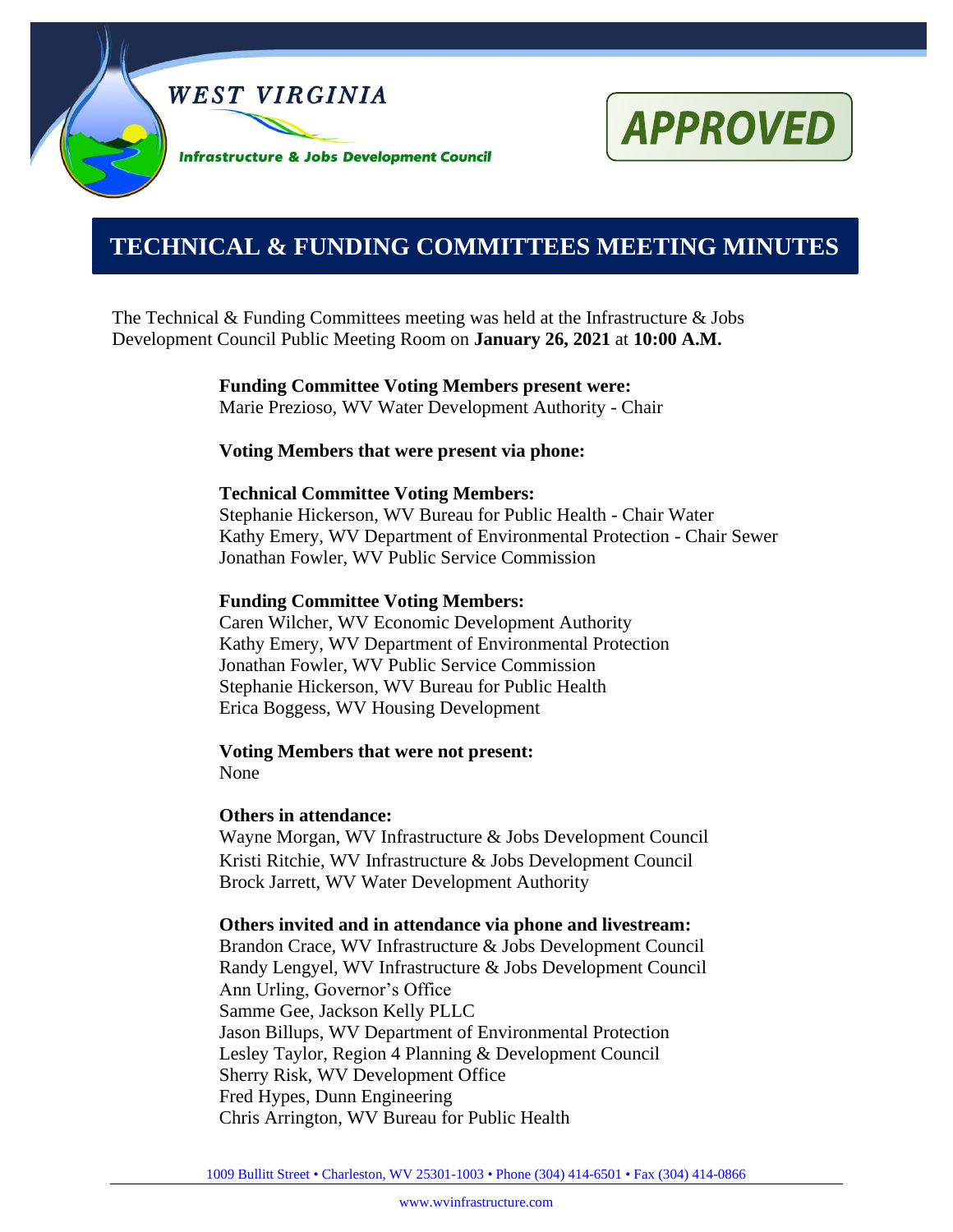

# **APPROVED**

# **0000000000000000000000000000000000000000000000000000. TECHNICAL & FUNDING COMMITTEES MEETING MINUTES**

The Technical & Funding Committees meeting was held at the Infrastructure  $\&$  Jobs Development Council Public Meeting Room on **January 26, 2021** at **10:00 A.M.**

> **Funding Committee Voting Members present were:** Marie Prezioso, WV Water Development Authority - Chair

#### **Voting Members that were present via phone:**

#### **Technical Committee Voting Members:**

Stephanie Hickerson, WV Bureau for Public Health - Chair Water Kathy Emery, WV Department of Environmental Protection - Chair Sewer Jonathan Fowler, WV Public Service Commission

#### **Funding Committee Voting Members:**

Caren Wilcher, WV Economic Development Authority Kathy Emery, WV Department of Environmental Protection Jonathan Fowler, WV Public Service Commission Stephanie Hickerson, WV Bureau for Public Health Erica Boggess, WV Housing Development

**Voting Members that were not present:** None

#### **Others in attendance:**

Wayne Morgan, WV Infrastructure & Jobs Development Council Kristi Ritchie, WV Infrastructure & Jobs Development Council Brock Jarrett, WV Water Development Authority

#### **Others invited and in attendance via phone and livestream:**

Brandon Crace, WV Infrastructure & Jobs Development Council Randy Lengyel, WV Infrastructure & Jobs Development Council Ann Urling, Governor's Office Samme Gee, Jackson Kelly PLLC Jason Billups, WV Department of Environmental Protection Lesley Taylor, Region 4 Planning & Development Council Sherry Risk, WV Development Office Fred Hypes, Dunn Engineering Chris Arrington, WV Bureau for Public Health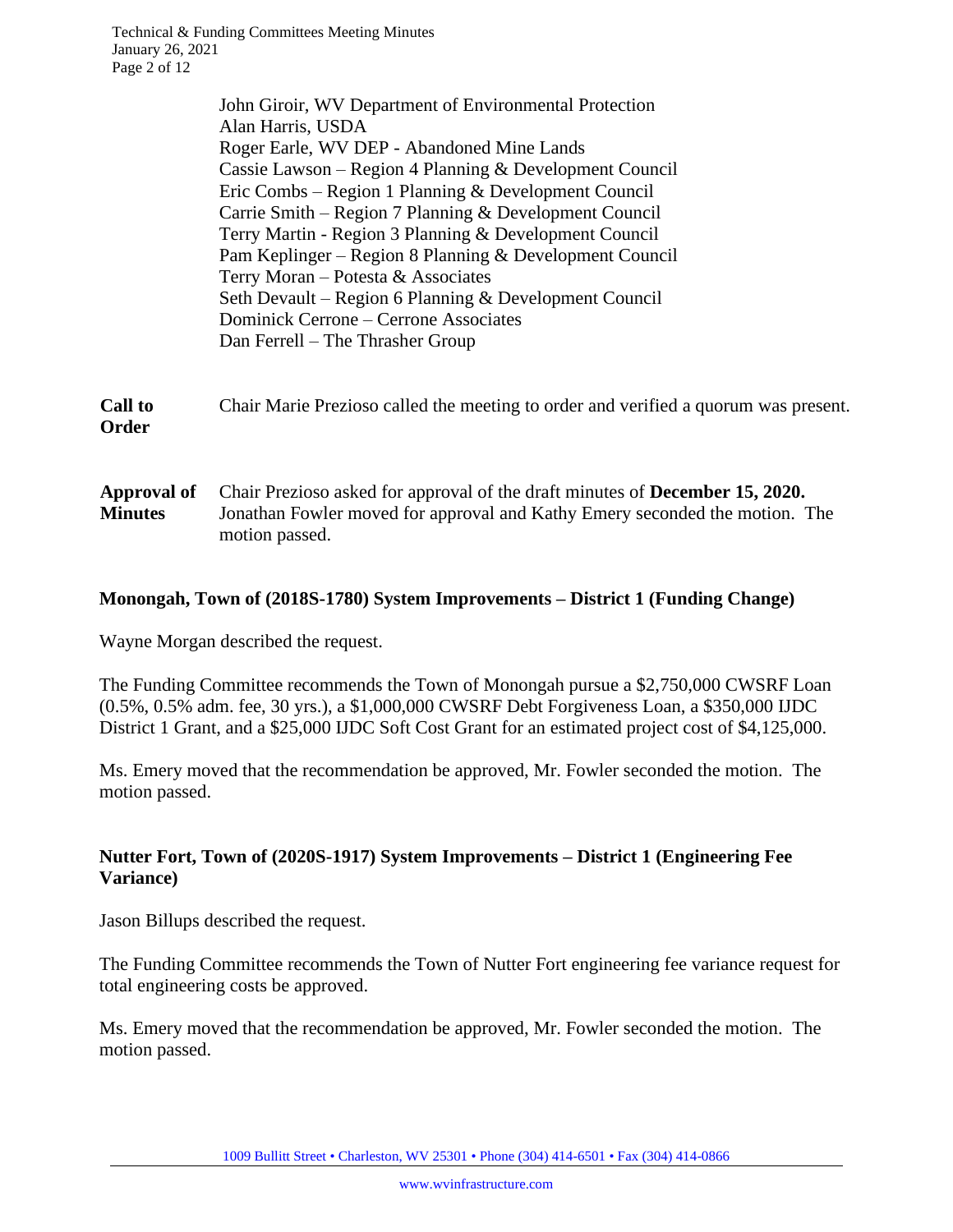|                               | John Giroir, WV Department of Environmental Protection                                                                                                                               |
|-------------------------------|--------------------------------------------------------------------------------------------------------------------------------------------------------------------------------------|
|                               | Alan Harris, USDA                                                                                                                                                                    |
|                               | Roger Earle, WV DEP - Abandoned Mine Lands                                                                                                                                           |
|                               | Cassie Lawson – Region 4 Planning & Development Council                                                                                                                              |
|                               | Eric Combs – Region 1 Planning & Development Council                                                                                                                                 |
|                               | Carrie Smith – Region 7 Planning $&$ Development Council                                                                                                                             |
|                               | Terry Martin - Region 3 Planning & Development Council                                                                                                                               |
|                               | Pam Keplinger - Region 8 Planning & Development Council                                                                                                                              |
|                               | Terry Moran - Potesta & Associates                                                                                                                                                   |
|                               | Seth Devault – Region 6 Planning & Development Council                                                                                                                               |
|                               | Dominick Cerrone – Cerrone Associates                                                                                                                                                |
|                               | Dan Ferrell – The Thrasher Group                                                                                                                                                     |
| <b>Call to</b><br>Order       | Chair Marie Prezioso called the meeting to order and verified a quorum was present.                                                                                                  |
| Approval of<br><b>Minutes</b> | Chair Prezioso asked for approval of the draft minutes of <b>December 15, 2020.</b><br>Jonathan Fowler moved for approval and Kathy Emery seconded the motion. The<br>motion passed. |

#### **Monongah, Town of (2018S-1780) System Improvements – District 1 (Funding Change)**

Wayne Morgan described the request.

The Funding Committee recommends the Town of Monongah pursue a \$2,750,000 CWSRF Loan (0.5%, 0.5% adm. fee, 30 yrs.), a \$1,000,000 CWSRF Debt Forgiveness Loan, a \$350,000 IJDC District 1 Grant, and a \$25,000 IJDC Soft Cost Grant for an estimated project cost of \$4,125,000.

Ms. Emery moved that the recommendation be approved, Mr. Fowler seconded the motion. The motion passed.

# **Nutter Fort, Town of (2020S-1917) System Improvements – District 1 (Engineering Fee Variance)**

Jason Billups described the request.

The Funding Committee recommends the Town of Nutter Fort engineering fee variance request for total engineering costs be approved.

Ms. Emery moved that the recommendation be approved, Mr. Fowler seconded the motion. The motion passed.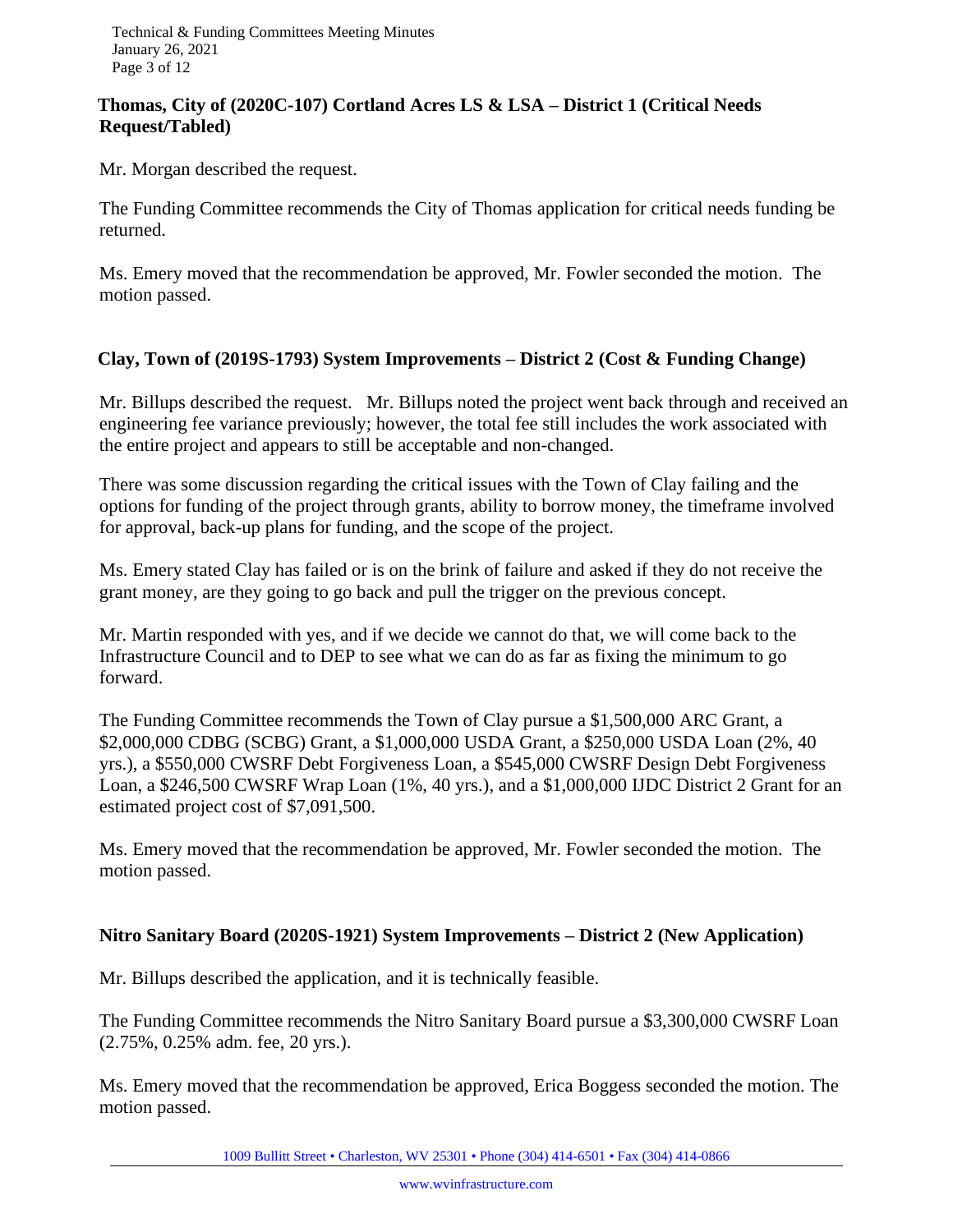# **Thomas, City of (2020C-107) Cortland Acres LS & LSA – District 1 (Critical Needs Request/Tabled)**

Mr. Morgan described the request.

The Funding Committee recommends the City of Thomas application for critical needs funding be returned.

Ms. Emery moved that the recommendation be approved, Mr. Fowler seconded the motion. The motion passed.

# **Clay, Town of (2019S-1793) System Improvements – District 2 (Cost & Funding Change)**

Mr. Billups described the request. Mr. Billups noted the project went back through and received an engineering fee variance previously; however, the total fee still includes the work associated with the entire project and appears to still be acceptable and non-changed.

There was some discussion regarding the critical issues with the Town of Clay failing and the options for funding of the project through grants, ability to borrow money, the timeframe involved for approval, back-up plans for funding, and the scope of the project.

Ms. Emery stated Clay has failed or is on the brink of failure and asked if they do not receive the grant money, are they going to go back and pull the trigger on the previous concept.

Mr. Martin responded with yes, and if we decide we cannot do that, we will come back to the Infrastructure Council and to DEP to see what we can do as far as fixing the minimum to go forward.

The Funding Committee recommends the Town of Clay pursue a \$1,500,000 ARC Grant, a \$2,000,000 CDBG (SCBG) Grant, a \$1,000,000 USDA Grant, a \$250,000 USDA Loan (2%, 40 yrs.), a \$550,000 CWSRF Debt Forgiveness Loan, a \$545,000 CWSRF Design Debt Forgiveness Loan, a \$246,500 CWSRF Wrap Loan (1%, 40 yrs.), and a \$1,000,000 IJDC District 2 Grant for an estimated project cost of \$7,091,500.

Ms. Emery moved that the recommendation be approved, Mr. Fowler seconded the motion. The motion passed.

#### **Nitro Sanitary Board (2020S-1921) System Improvements – District 2 (New Application)**

Mr. Billups described the application, and it is technically feasible.

The Funding Committee recommends the Nitro Sanitary Board pursue a \$3,300,000 CWSRF Loan (2.75%, 0.25% adm. fee, 20 yrs.).

Ms. Emery moved that the recommendation be approved, Erica Boggess seconded the motion. The motion passed.

1009 Bullitt Street • Charleston, WV 25301 • Phone (304) 414-6501 • Fax (304) 414-0866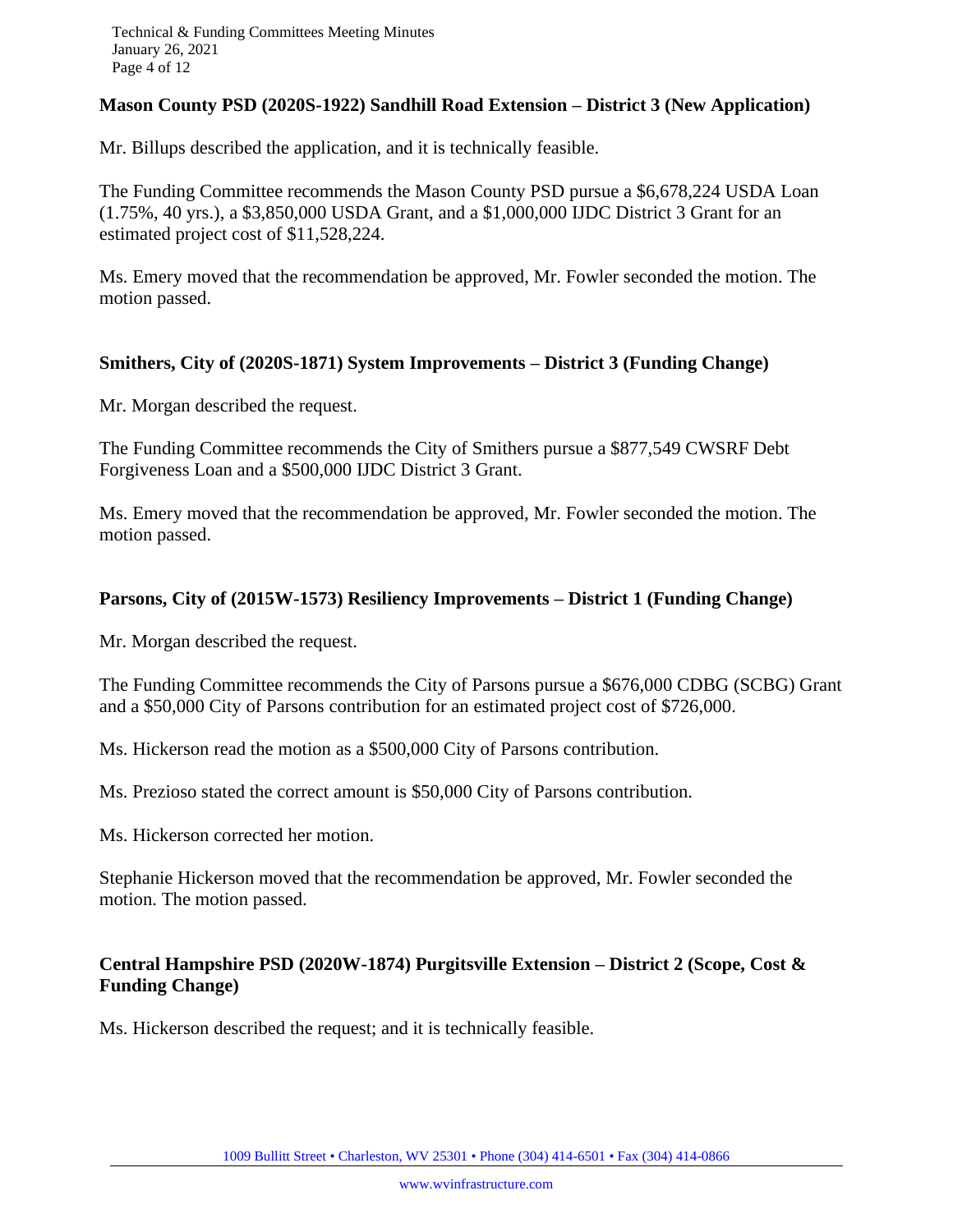# **Mason County PSD (2020S-1922) Sandhill Road Extension – District 3 (New Application)**

Mr. Billups described the application, and it is technically feasible.

The Funding Committee recommends the Mason County PSD pursue a \$6,678,224 USDA Loan (1.75%, 40 yrs.), a \$3,850,000 USDA Grant, and a \$1,000,000 IJDC District 3 Grant for an estimated project cost of \$11,528,224.

Ms. Emery moved that the recommendation be approved, Mr. Fowler seconded the motion. The motion passed.

# **Smithers, City of (2020S-1871) System Improvements – District 3 (Funding Change)**

Mr. Morgan described the request.

The Funding Committee recommends the City of Smithers pursue a \$877,549 CWSRF Debt Forgiveness Loan and a \$500,000 IJDC District 3 Grant.

Ms. Emery moved that the recommendation be approved, Mr. Fowler seconded the motion. The motion passed.

# **Parsons, City of (2015W-1573) Resiliency Improvements – District 1 (Funding Change)**

Mr. Morgan described the request.

The Funding Committee recommends the City of Parsons pursue a \$676,000 CDBG (SCBG) Grant and a \$50,000 City of Parsons contribution for an estimated project cost of \$726,000.

Ms. Hickerson read the motion as a \$500,000 City of Parsons contribution.

Ms. Prezioso stated the correct amount is \$50,000 City of Parsons contribution.

Ms. Hickerson corrected her motion.

Stephanie Hickerson moved that the recommendation be approved, Mr. Fowler seconded the motion. The motion passed.

# **Central Hampshire PSD (2020W-1874) Purgitsville Extension – District 2 (Scope, Cost & Funding Change)**

Ms. Hickerson described the request; and it is technically feasible.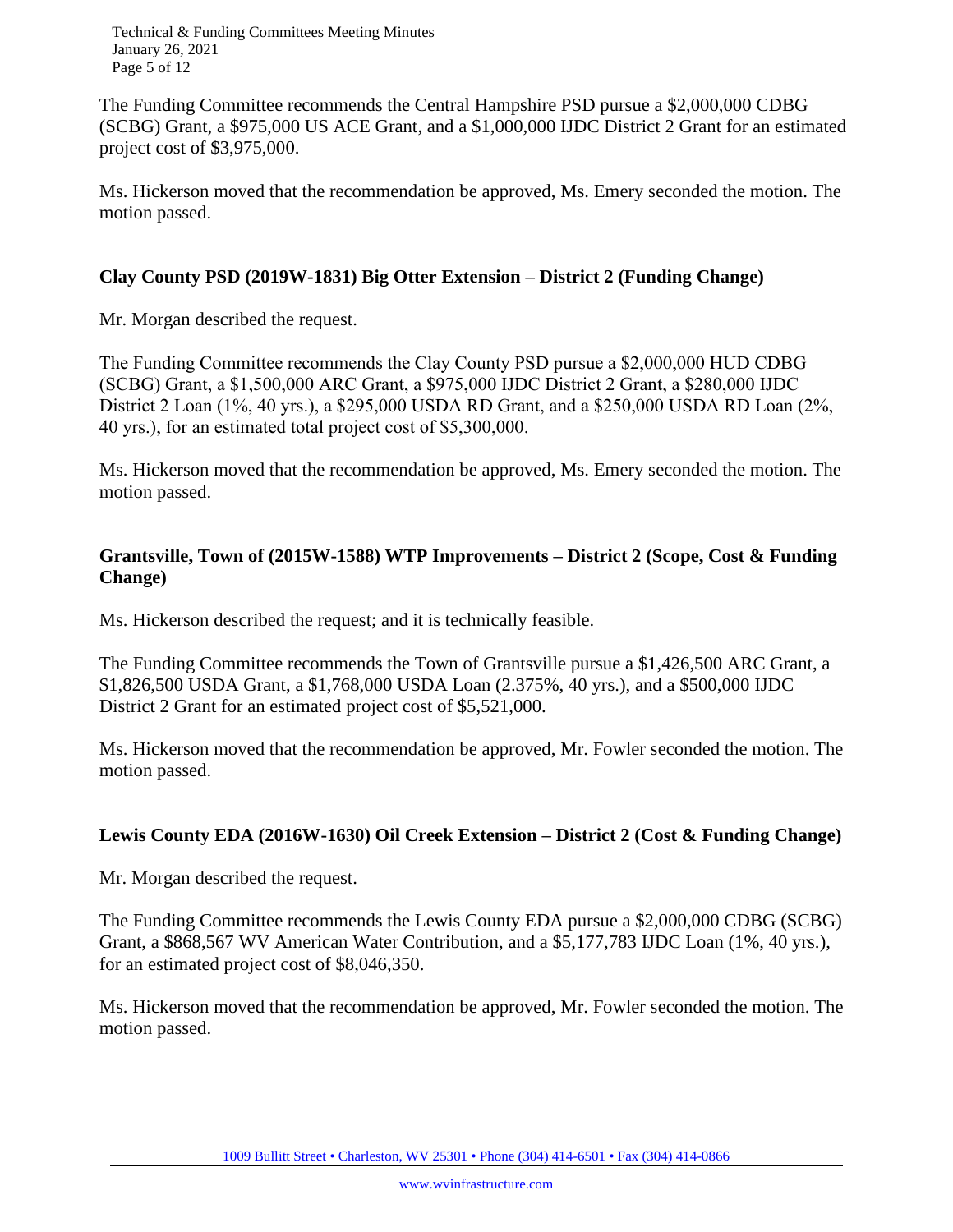Technical & Funding Committees Meeting Minutes January 26, 2021 Page 5 of 12

The Funding Committee recommends the Central Hampshire PSD pursue a \$2,000,000 CDBG (SCBG) Grant, a \$975,000 US ACE Grant, and a \$1,000,000 IJDC District 2 Grant for an estimated project cost of \$3,975,000.

Ms. Hickerson moved that the recommendation be approved, Ms. Emery seconded the motion. The motion passed.

# **Clay County PSD (2019W-1831) Big Otter Extension – District 2 (Funding Change)**

Mr. Morgan described the request.

The Funding Committee recommends the Clay County PSD pursue a \$2,000,000 HUD CDBG (SCBG) Grant, a \$1,500,000 ARC Grant, a \$975,000 IJDC District 2 Grant, a \$280,000 IJDC District 2 Loan (1%, 40 yrs.), a \$295,000 USDA RD Grant, and a \$250,000 USDA RD Loan (2%, 40 yrs.), for an estimated total project cost of \$5,300,000.

Ms. Hickerson moved that the recommendation be approved, Ms. Emery seconded the motion. The motion passed.

# **Grantsville, Town of (2015W-1588) WTP Improvements – District 2 (Scope, Cost & Funding Change)**

Ms. Hickerson described the request; and it is technically feasible.

The Funding Committee recommends the Town of Grantsville pursue a \$1,426,500 ARC Grant, a \$1,826,500 USDA Grant, a \$1,768,000 USDA Loan (2.375%, 40 yrs.), and a \$500,000 IJDC District 2 Grant for an estimated project cost of \$5,521,000.

Ms. Hickerson moved that the recommendation be approved, Mr. Fowler seconded the motion. The motion passed.

# **Lewis County EDA (2016W-1630) Oil Creek Extension – District 2 (Cost & Funding Change)**

Mr. Morgan described the request.

The Funding Committee recommends the Lewis County EDA pursue a \$2,000,000 CDBG (SCBG) Grant, a \$868,567 WV American Water Contribution, and a \$5,177,783 IJDC Loan (1%, 40 yrs.), for an estimated project cost of \$8,046,350.

Ms. Hickerson moved that the recommendation be approved, Mr. Fowler seconded the motion. The motion passed.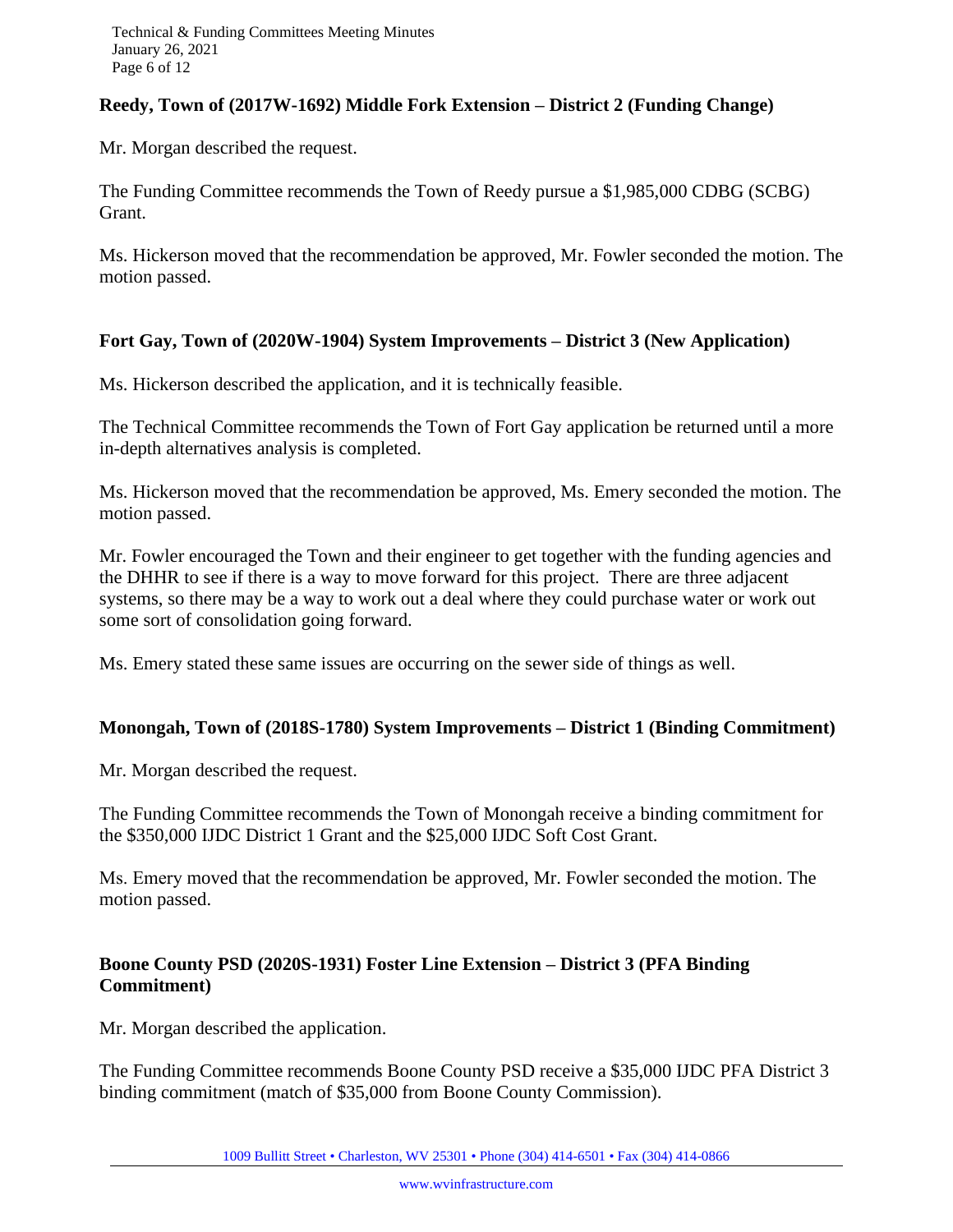# **Reedy, Town of (2017W-1692) Middle Fork Extension – District 2 (Funding Change)**

Mr. Morgan described the request.

The Funding Committee recommends the Town of Reedy pursue a \$1,985,000 CDBG (SCBG) Grant.

Ms. Hickerson moved that the recommendation be approved, Mr. Fowler seconded the motion. The motion passed.

#### **Fort Gay, Town of (2020W-1904) System Improvements – District 3 (New Application)**

Ms. Hickerson described the application, and it is technically feasible.

The Technical Committee recommends the Town of Fort Gay application be returned until a more in-depth alternatives analysis is completed.

Ms. Hickerson moved that the recommendation be approved, Ms. Emery seconded the motion. The motion passed.

Mr. Fowler encouraged the Town and their engineer to get together with the funding agencies and the DHHR to see if there is a way to move forward for this project. There are three adjacent systems, so there may be a way to work out a deal where they could purchase water or work out some sort of consolidation going forward.

Ms. Emery stated these same issues are occurring on the sewer side of things as well.

#### **Monongah, Town of (2018S-1780) System Improvements – District 1 (Binding Commitment)**

Mr. Morgan described the request.

The Funding Committee recommends the Town of Monongah receive a binding commitment for the \$350,000 IJDC District 1 Grant and the \$25,000 IJDC Soft Cost Grant.

Ms. Emery moved that the recommendation be approved, Mr. Fowler seconded the motion. The motion passed.

# **Boone County PSD (2020S-1931) Foster Line Extension – District 3 (PFA Binding Commitment)**

Mr. Morgan described the application.

The Funding Committee recommends Boone County PSD receive a \$35,000 IJDC PFA District 3 binding commitment (match of \$35,000 from Boone County Commission).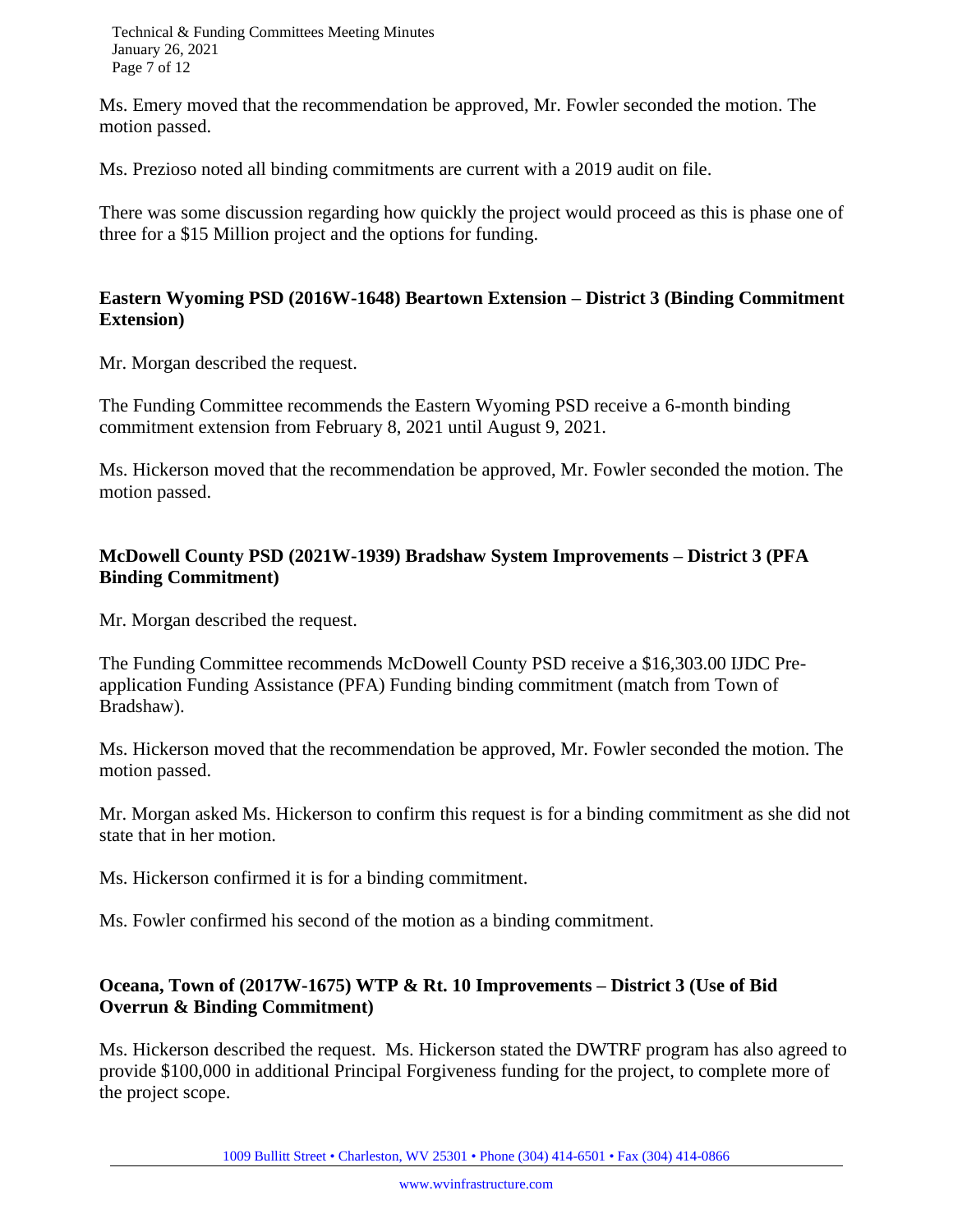Technical & Funding Committees Meeting Minutes January 26, 2021 Page 7 of 12

Ms. Emery moved that the recommendation be approved, Mr. Fowler seconded the motion. The motion passed.

Ms. Prezioso noted all binding commitments are current with a 2019 audit on file.

There was some discussion regarding how quickly the project would proceed as this is phase one of three for a \$15 Million project and the options for funding.

# **Eastern Wyoming PSD (2016W-1648) Beartown Extension – District 3 (Binding Commitment Extension)**

Mr. Morgan described the request.

The Funding Committee recommends the Eastern Wyoming PSD receive a 6-month binding commitment extension from February 8, 2021 until August 9, 2021.

Ms. Hickerson moved that the recommendation be approved, Mr. Fowler seconded the motion. The motion passed.

# **McDowell County PSD (2021W-1939) Bradshaw System Improvements – District 3 (PFA Binding Commitment)**

Mr. Morgan described the request.

The Funding Committee recommends McDowell County PSD receive a \$16,303.00 IJDC Preapplication Funding Assistance (PFA) Funding binding commitment (match from Town of Bradshaw).

Ms. Hickerson moved that the recommendation be approved, Mr. Fowler seconded the motion. The motion passed.

Mr. Morgan asked Ms. Hickerson to confirm this request is for a binding commitment as she did not state that in her motion.

Ms. Hickerson confirmed it is for a binding commitment.

Ms. Fowler confirmed his second of the motion as a binding commitment.

# **Oceana, Town of (2017W-1675) WTP & Rt. 10 Improvements – District 3 (Use of Bid Overrun & Binding Commitment)**

Ms. Hickerson described the request. Ms. Hickerson stated the DWTRF program has also agreed to provide \$100,000 in additional Principal Forgiveness funding for the project, to complete more of the project scope.

1009 Bullitt Street • Charleston, WV 25301 • Phone (304) 414-6501 • Fax (304) 414-0866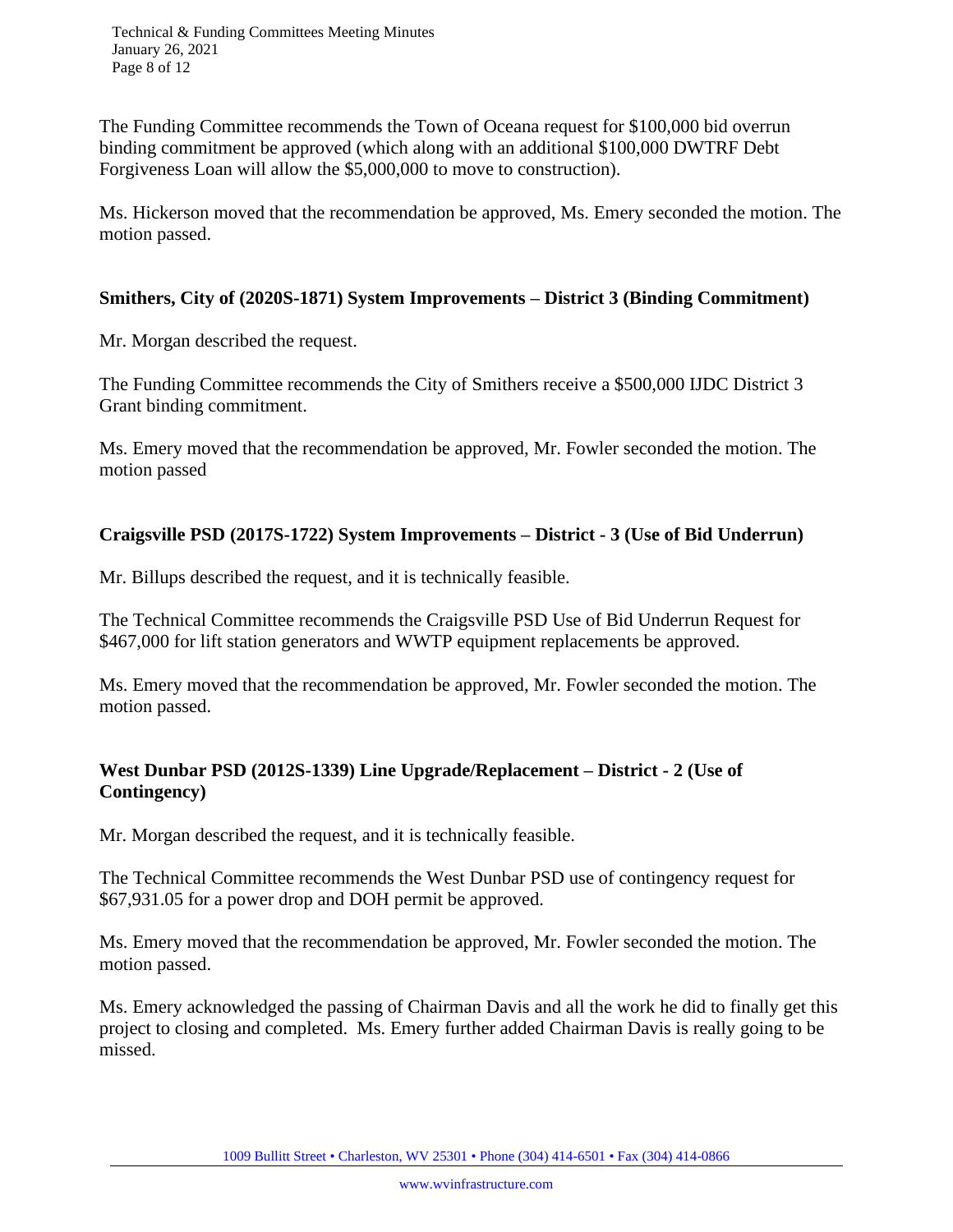Technical & Funding Committees Meeting Minutes January 26, 2021 Page 8 of 12

The Funding Committee recommends the Town of Oceana request for \$100,000 bid overrun binding commitment be approved (which along with an additional \$100,000 DWTRF Debt Forgiveness Loan will allow the \$5,000,000 to move to construction).

Ms. Hickerson moved that the recommendation be approved, Ms. Emery seconded the motion. The motion passed.

#### **Smithers, City of (2020S-1871) System Improvements – District 3 (Binding Commitment)**

Mr. Morgan described the request.

The Funding Committee recommends the City of Smithers receive a \$500,000 IJDC District 3 Grant binding commitment.

Ms. Emery moved that the recommendation be approved, Mr. Fowler seconded the motion. The motion passed

# **Craigsville PSD (2017S-1722) System Improvements – District - 3 (Use of Bid Underrun)**

Mr. Billups described the request, and it is technically feasible.

The Technical Committee recommends the Craigsville PSD Use of Bid Underrun Request for \$467,000 for lift station generators and WWTP equipment replacements be approved.

Ms. Emery moved that the recommendation be approved, Mr. Fowler seconded the motion. The motion passed.

# **West Dunbar PSD (2012S-1339) Line Upgrade/Replacement – District - 2 (Use of Contingency)**

Mr. Morgan described the request, and it is technically feasible.

The Technical Committee recommends the West Dunbar PSD use of contingency request for \$67,931.05 for a power drop and DOH permit be approved.

Ms. Emery moved that the recommendation be approved, Mr. Fowler seconded the motion. The motion passed.

Ms. Emery acknowledged the passing of Chairman Davis and all the work he did to finally get this project to closing and completed. Ms. Emery further added Chairman Davis is really going to be missed.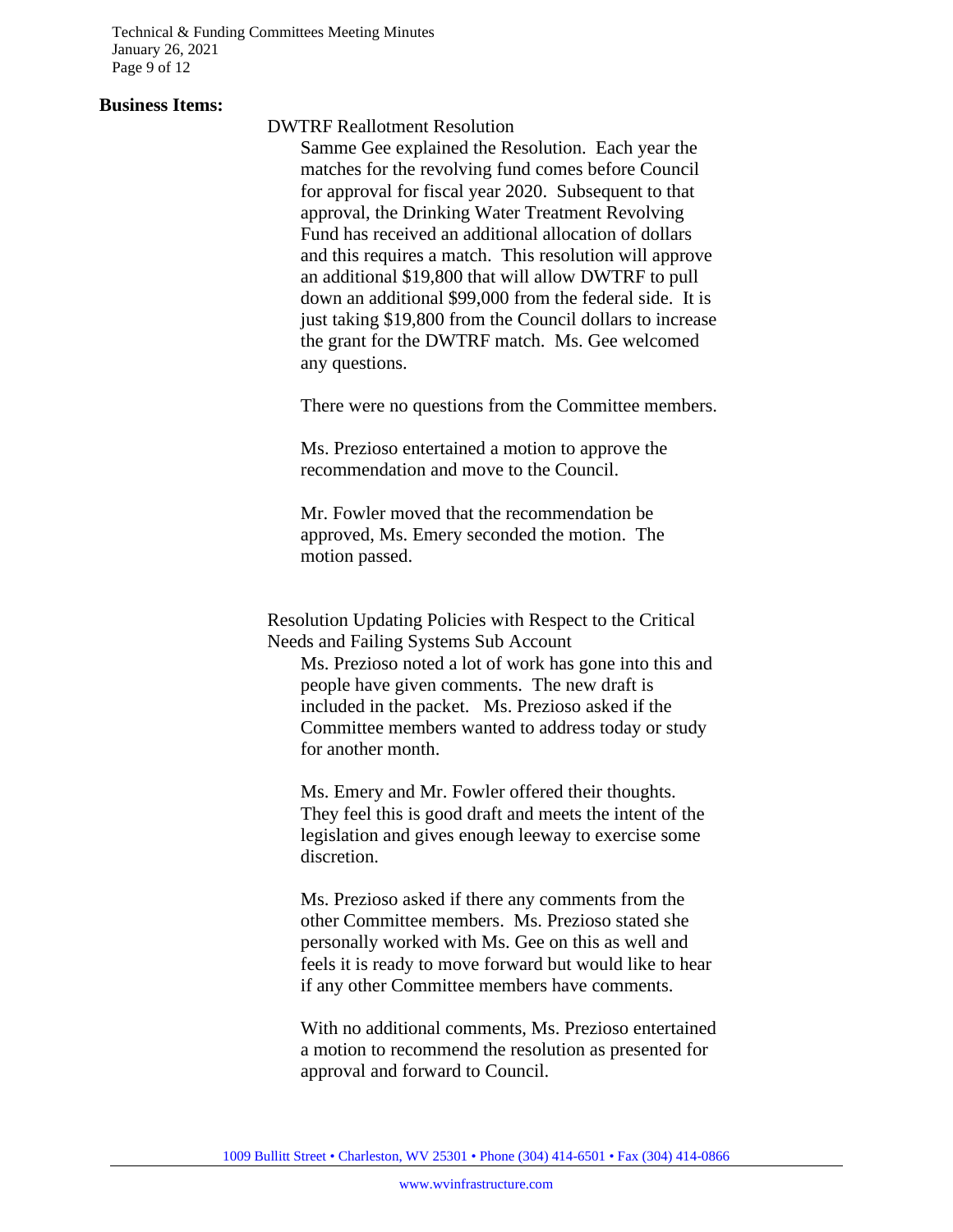Technical & Funding Committees Meeting Minutes January 26, 2021 Page 9 of 12

#### **Business Items:**

DWTRF Reallotment Resolution

Samme Gee explained the Resolution. Each year the matches for the revolving fund comes before Council for approval for fiscal year 2020. Subsequent to that approval, the Drinking Water Treatment Revolving Fund has received an additional allocation of dollars and this requires a match. This resolution will approve an additional \$19,800 that will allow DWTRF to pull down an additional \$99,000 from the federal side. It is just taking \$19,800 from the Council dollars to increase the grant for the DWTRF match. Ms. Gee welcomed any questions.

There were no questions from the Committee members.

Ms. Prezioso entertained a motion to approve the recommendation and move to the Council.

Mr. Fowler moved that the recommendation be approved, Ms. Emery seconded the motion. The motion passed.

Resolution Updating Policies with Respect to the Critical Needs and Failing Systems Sub Account

Ms. Prezioso noted a lot of work has gone into this and people have given comments. The new draft is included in the packet. Ms. Prezioso asked if the Committee members wanted to address today or study for another month.

Ms. Emery and Mr. Fowler offered their thoughts. They feel this is good draft and meets the intent of the legislation and gives enough leeway to exercise some discretion.

Ms. Prezioso asked if there any comments from the other Committee members. Ms. Prezioso stated she personally worked with Ms. Gee on this as well and feels it is ready to move forward but would like to hear if any other Committee members have comments.

With no additional comments, Ms. Prezioso entertained a motion to recommend the resolution as presented for approval and forward to Council.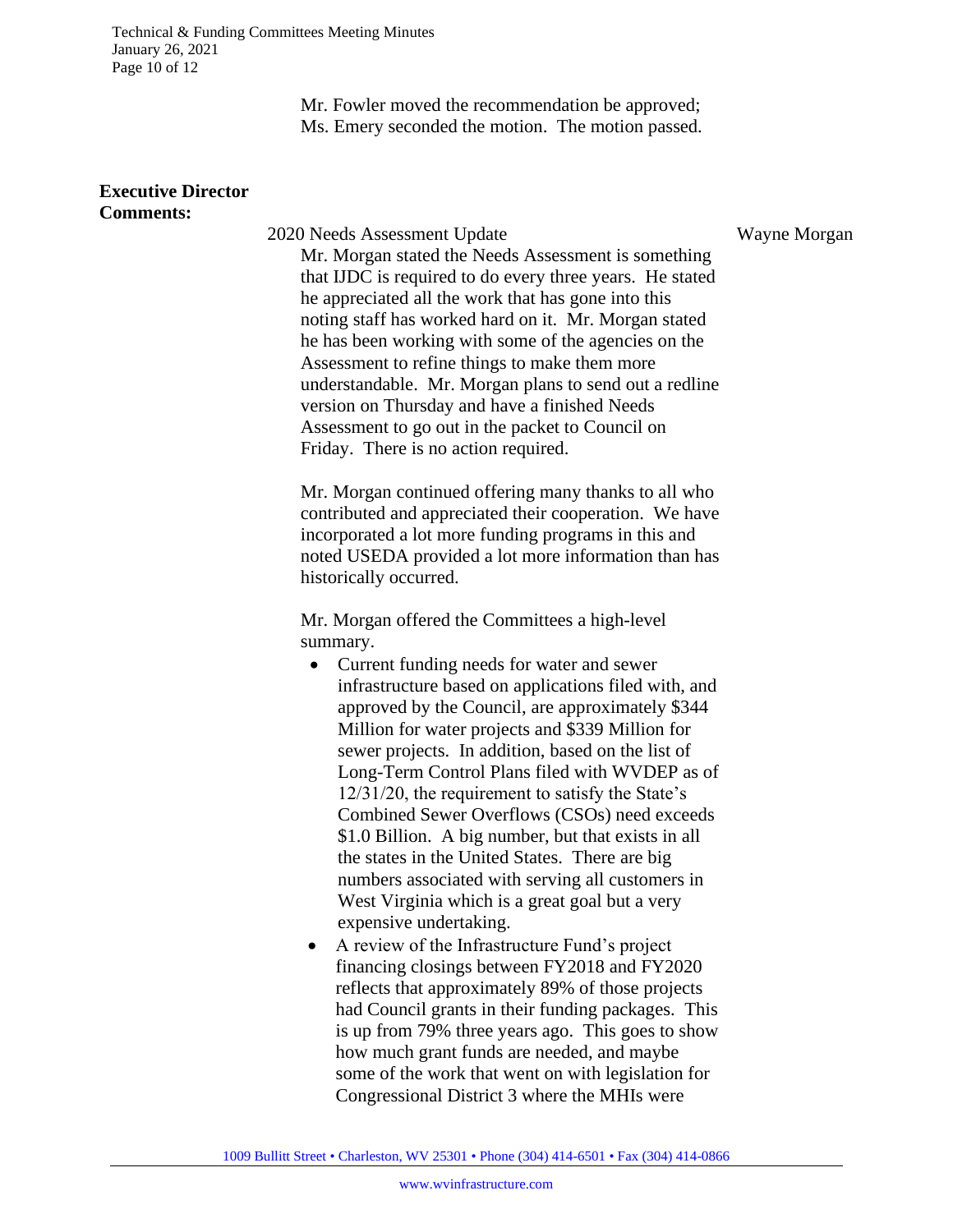Technical & Funding Committees Meeting Minutes January 26, 2021 Page 10 of 12

> Mr. Fowler moved the recommendation be approved; Ms. Emery seconded the motion. The motion passed.

#### **Executive Director Comments:**

2020 Needs Assessment Update Wayne Morgan Mr. Morgan stated the Needs Assessment is something that IJDC is required to do every three years. He stated he appreciated all the work that has gone into this noting staff has worked hard on it. Mr. Morgan stated he has been working with some of the agencies on the Assessment to refine things to make them more understandable. Mr. Morgan plans to send out a redline version on Thursday and have a finished Needs Assessment to go out in the packet to Council on Friday. There is no action required.

Mr. Morgan continued offering many thanks to all who contributed and appreciated their cooperation. We have incorporated a lot more funding programs in this and noted USEDA provided a lot more information than has historically occurred.

Mr. Morgan offered the Committees a high-level summary.

- Current funding needs for water and sewer infrastructure based on applications filed with, and approved by the Council, are approximately \$344 Million for water projects and \$339 Million for sewer projects. In addition, based on the list of Long-Term Control Plans filed with WVDEP as of 12/31/20, the requirement to satisfy the State's Combined Sewer Overflows (CSOs) need exceeds \$1.0 Billion. A big number, but that exists in all the states in the United States. There are big numbers associated with serving all customers in West Virginia which is a great goal but a very expensive undertaking.
- A review of the Infrastructure Fund's project financing closings between FY2018 and FY2020 reflects that approximately 89% of those projects had Council grants in their funding packages. This is up from 79% three years ago. This goes to show how much grant funds are needed, and maybe some of the work that went on with legislation for Congressional District 3 where the MHIs were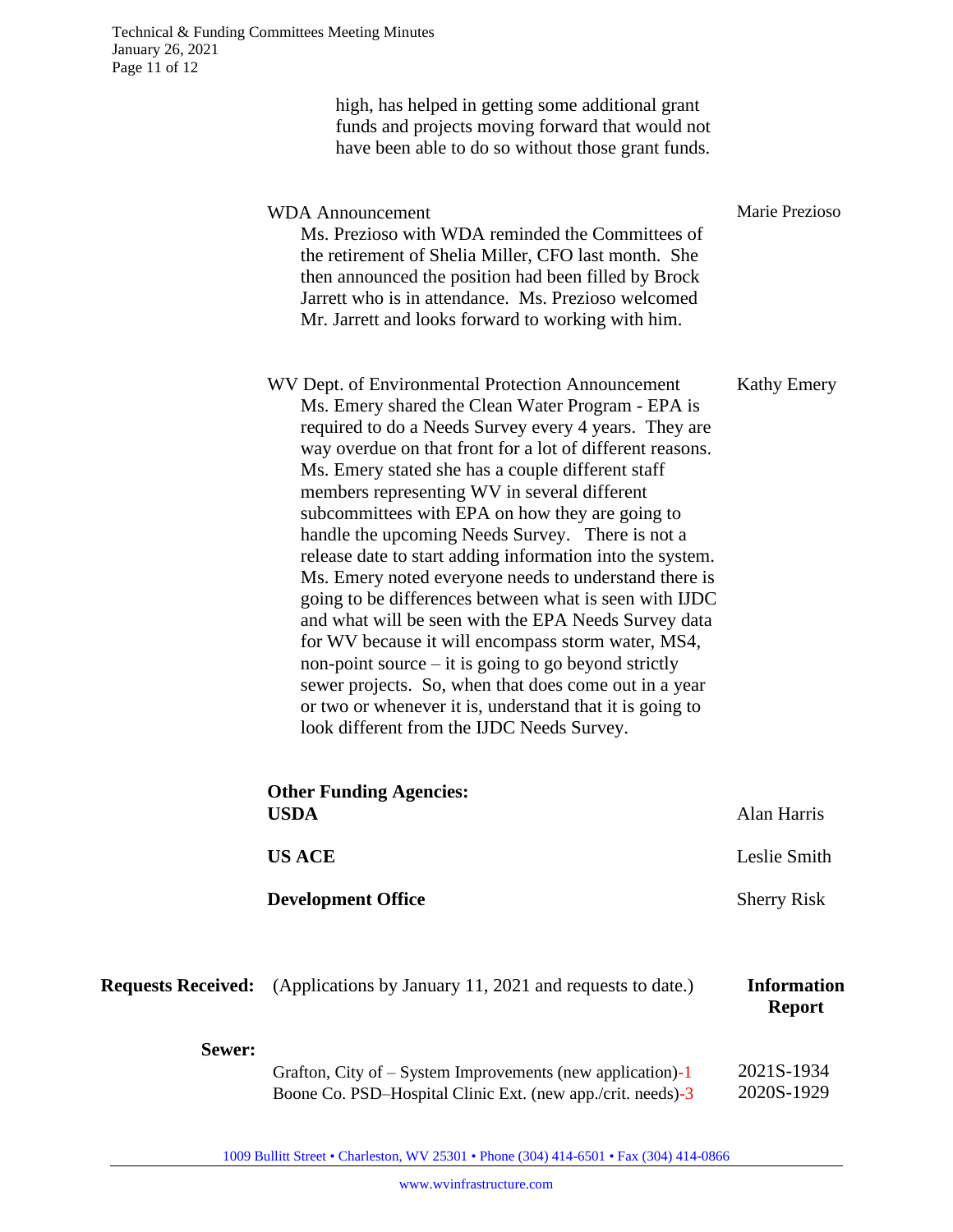|                           | high, has helped in getting some additional grant<br>funds and projects moving forward that would not<br>have been able to do so without those grant funds.                                                                                                                                                                                                                                                                                                                                                                                                                                                                                                                                                                                                                                                                                                                                                                                                         |                                     |
|---------------------------|---------------------------------------------------------------------------------------------------------------------------------------------------------------------------------------------------------------------------------------------------------------------------------------------------------------------------------------------------------------------------------------------------------------------------------------------------------------------------------------------------------------------------------------------------------------------------------------------------------------------------------------------------------------------------------------------------------------------------------------------------------------------------------------------------------------------------------------------------------------------------------------------------------------------------------------------------------------------|-------------------------------------|
|                           | <b>WDA</b> Announcement<br>Ms. Prezioso with WDA reminded the Committees of<br>the retirement of Shelia Miller, CFO last month. She<br>then announced the position had been filled by Brock<br>Jarrett who is in attendance. Ms. Prezioso welcomed<br>Mr. Jarrett and looks forward to working with him.                                                                                                                                                                                                                                                                                                                                                                                                                                                                                                                                                                                                                                                            | Marie Prezioso                      |
|                           | WV Dept. of Environmental Protection Announcement<br>Ms. Emery shared the Clean Water Program - EPA is<br>required to do a Needs Survey every 4 years. They are<br>way overdue on that front for a lot of different reasons.<br>Ms. Emery stated she has a couple different staff<br>members representing WV in several different<br>subcommittees with EPA on how they are going to<br>handle the upcoming Needs Survey. There is not a<br>release date to start adding information into the system.<br>Ms. Emery noted everyone needs to understand there is<br>going to be differences between what is seen with IJDC<br>and what will be seen with the EPA Needs Survey data<br>for WV because it will encompass storm water, MS4,<br>non-point source $-$ it is going to go beyond strictly<br>sewer projects. So, when that does come out in a year<br>or two or whenever it is, understand that it is going to<br>look different from the IJDC Needs Survey. | <b>Kathy Emery</b>                  |
|                           | <b>Other Funding Agencies:</b><br><b>USDA</b>                                                                                                                                                                                                                                                                                                                                                                                                                                                                                                                                                                                                                                                                                                                                                                                                                                                                                                                       | Alan Harris                         |
|                           | <b>US ACE</b>                                                                                                                                                                                                                                                                                                                                                                                                                                                                                                                                                                                                                                                                                                                                                                                                                                                                                                                                                       | Leslie Smith                        |
|                           | <b>Development Office</b>                                                                                                                                                                                                                                                                                                                                                                                                                                                                                                                                                                                                                                                                                                                                                                                                                                                                                                                                           | <b>Sherry Risk</b>                  |
| <b>Requests Received:</b> | (Applications by January 11, 2021 and requests to date.)                                                                                                                                                                                                                                                                                                                                                                                                                                                                                                                                                                                                                                                                                                                                                                                                                                                                                                            | <b>Information</b><br><b>Report</b> |
| Sewer:                    | Grafton, City of $-$ System Improvements (new application) $-1$<br>Boone Co. PSD-Hospital Clinic Ext. (new app./crit. needs)-3                                                                                                                                                                                                                                                                                                                                                                                                                                                                                                                                                                                                                                                                                                                                                                                                                                      | 2021S-1934<br>2020S-1929            |

1009 Bullitt Street • Charleston, WV 25301 • Phone (304) 414-6501 • Fax (304) 414-0866